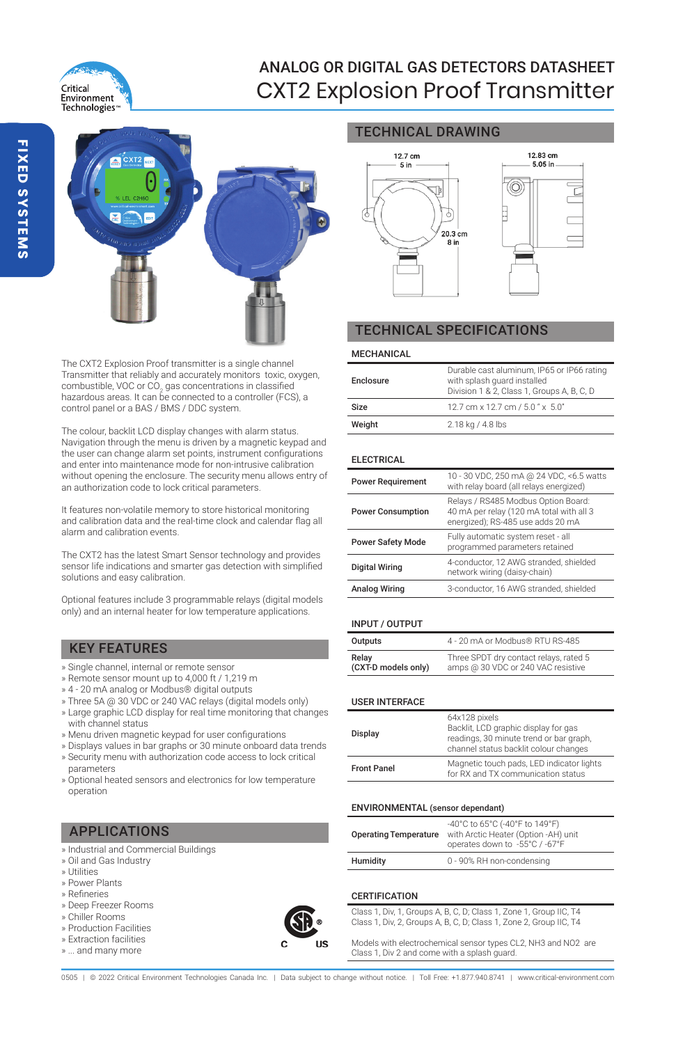

# ANALOG OR DIGITAL GAS DETECTORS DATASHEET CXT2 Explosion Proof Transmitter



The CXT2 Explosion Proof transmitter is a single channel Transmitter that reliably and accurately monitors toxic, oxygen, combustible, VOC or CO $_{2}$  gas concentrations in classified hazardous areas. It can be connected to a controller (FCS), a control panel or a BAS / BMS / DDC system.

The colour, backlit LCD display changes with alarm status. Navigation through the menu is driven by a magnetic keypad and the user can change alarm set points, instrument configurations and enter into maintenance mode for non-intrusive calibration without opening the enclosure. The security menu allows entry of an authorization code to lock critical parameters.

It features non-volatile memory to store historical monitoring and calibration data and the real-time clock and calendar flag all alarm and calibration events.

The CXT2 has the latest Smart Sensor technology and provides sensor life indications and smarter gas detection with simplified solutions and easy calibration.

Optional features include 3 programmable relays (digital models only) and an internal heater for low temperature applications.

# KEY FEATURES

- » Single channel, internal or remote sensor
- » Remote sensor mount up to 4,000 ft / 1,219 m
- » 4 20 mA analog or Modbus® digital outputs
- » Three 5A @ 30 VDC or 240 VAC relays (digital models only)
- » Large graphic LCD display for real time monitoring that changes with channel status
- » Menu driven magnetic keypad for user configurations
- » Displays values in bar graphs or 30 minute onboard data trends
- » Security menu with authorization code access to lock critical parameters
- » Optional heated sensors and electronics for low temperature operation

# APPLICATIONS

- » Industrial and Commercial Buildings
- » Oil and Gas Industry
- » Utilities
- » Power Plants
- » Refineries » Deep Freezer Rooms
- » Chiller Rooms
- » Production Facilities
- » Extraction facilities
- » ... and many more



## TECHNICAL DRAWING



# TECHNICAL SPECIFICATIONS

#### MECHANICAL

| Enclosure | Durable cast aluminum, IP65 or IP66 rating<br>with splash quard installed<br>Division 1 & 2, Class 1, Groups A, B, C, D |
|-----------|-------------------------------------------------------------------------------------------------------------------------|
| Size      | 12.7 cm x 12.7 cm / 5.0" x 5.0"                                                                                         |
| Weight    | 2.18 kg / 4.8 lbs                                                                                                       |

## ELECTRICAL

| <b>Power Requirement</b> | 10 - 30 VDC, 250 mA @ 24 VDC, <6.5 watts<br>with relay board (all relays energized)                                  |
|--------------------------|----------------------------------------------------------------------------------------------------------------------|
| <b>Power Consumption</b> | Relays / RS485 Modbus Option Board:<br>40 mA per relay (120 mA total with all 3<br>energized); RS-485 use adds 20 mA |
| <b>Power Safety Mode</b> | Fully automatic system reset - all<br>programmed parameters retained                                                 |
| <b>Digital Wiring</b>    | 4-conductor, 12 AWG stranded, shielded<br>network wiring (daisy-chain)                                               |
| <b>Analog Wiring</b>     | 3-conductor, 16 AWG stranded, shielded                                                                               |
|                          |                                                                                                                      |

### INPUT / OUTPUT

| Outputs             | 4 - 20 mA or Modbus® RTU RS-485        |
|---------------------|----------------------------------------|
| Relay               | Three SPDT dry contact relays, rated 5 |
| (CXT-D models only) | amps @ 30 VDC or 240 VAC resistive     |

### USER INTERFACE

| Display            | 64x128 pixels<br>Backlit, LCD graphic display for gas<br>readings, 30 minute trend or bar graph,<br>channel status backlit colour changes |  |
|--------------------|-------------------------------------------------------------------------------------------------------------------------------------------|--|
| <b>Front Panel</b> | Magnetic touch pads, LED indicator lights<br>for RX and TX communication status                                                           |  |

## ENVIRONMENTAL (sensor dependant)

| <b>Operating Temperature</b> | -40°C to 65°C (-40°F to 149°F)<br>with Arctic Heater (Option -AH) unit<br>operates down to -55°C / -67°F |  |
|------------------------------|----------------------------------------------------------------------------------------------------------|--|
| Humidity                     | 0 - 90% RH non-condensing                                                                                |  |

### **CERTIFICATION**

Class 1, Div, 1, Groups A, B, C, D; Class 1, Zone 1, Group IIC, T4 Class 1, Div, 2, Groups A, B, C, D; Class 1, Zone 2, Group IIC, T4

Models with electrochemical sensor types CL2, NH3 and NO2 are Class 1, Div 2 and come with a splash guard.

0505 | @ 2022 Critical Environment Technologies Canada Inc. | Data subject to change without notice. | Toll Free: +1.877.940.8741 | www.critical-environr